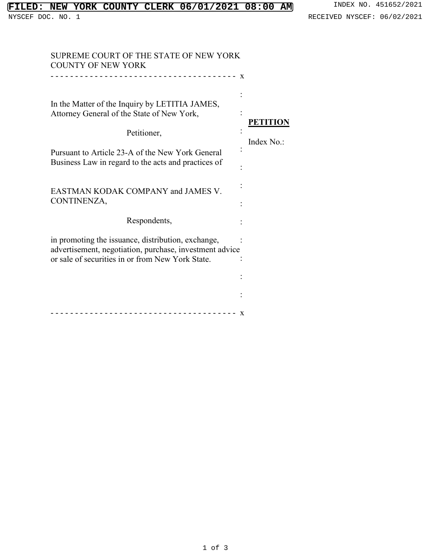## **FILED: NEW YORK COUNTY CLERK 06/01/2021 08:00 AM** INDEX NO. 451652/2021<br>NYSCEF DOC. NO. 1 RECEIVED NYSCEF: 06/02/2021

| SUPREME COURT OF THE STATE OF NEW YORK<br><b>COUNTY OF NEW YORK</b>                                                                                               |                 |
|-------------------------------------------------------------------------------------------------------------------------------------------------------------------|-----------------|
| $\mathbf{x}$                                                                                                                                                      |                 |
| In the Matter of the Inquiry by LETITIA JAMES,<br>Attorney General of the State of New York,                                                                      | <b>PETITION</b> |
| Petitioner,                                                                                                                                                       | Index No.:      |
| Pursuant to Article 23-A of the New York General<br>Business Law in regard to the acts and practices of                                                           |                 |
| <b>EASTMAN KODAK COMPANY and JAMES V.</b><br>CONTINENZA,                                                                                                          |                 |
| Respondents,                                                                                                                                                      |                 |
| in promoting the issuance, distribution, exchange,<br>advertisement, negotiation, purchase, investment advice<br>or sale of securities in or from New York State. |                 |
|                                                                                                                                                                   |                 |
|                                                                                                                                                                   |                 |
| X                                                                                                                                                                 |                 |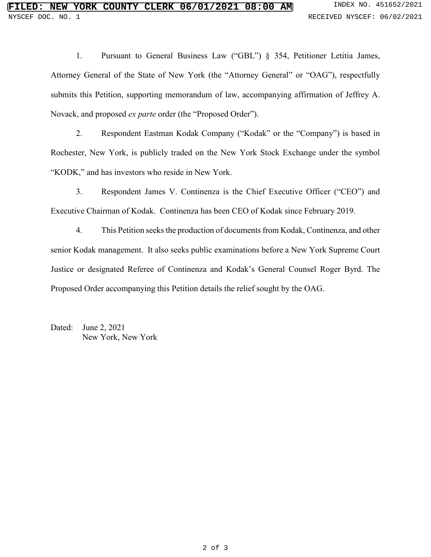1. Pursuant to General Business Law ("GBL") § 354, Petitioner Letitia James, Attorney General of the State of New York (the "Attorney General" or "OAG"), respectfully submits this Petition, supporting memorandum of law, accompanying affirmation of Jeffrey A. Novack, and proposed *ex parte* order (the "Proposed Order").

2. Respondent Eastman Kodak Company ("Kodak" or the "Company") is based in Rochester, New York, is publicly traded on the New York Stock Exchange under the symbol "KODK," and has investors who reside in New York.

3. Respondent James V. Continenza is the Chief Executive Officer ("CEO") and Executive Chairman of Kodak. Continenza has been CEO of Kodak since February 2019.

4. This Petition seeks the production of documents from Kodak, Continenza, and other senior Kodak management. It also seeks public examinations before a New York Supreme Court Justice or designated Referee of Continenza and Kodak's General Counsel Roger Byrd. The Proposed Order accompanying this Petition details the relief sought by the OAG.

Dated: June 2, 2021 New York, New York